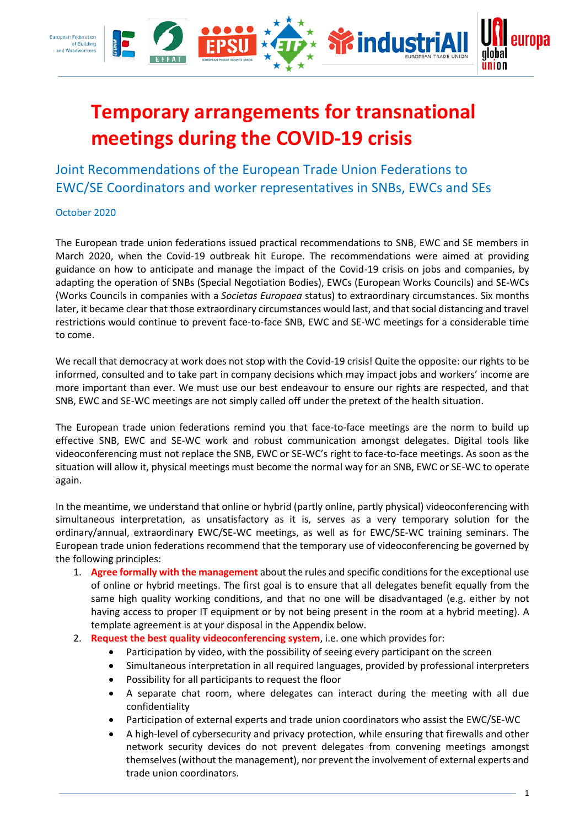

# **Temporary arrangements for transnational meetings during the COVID-19 crisis**

Joint Recommendations of the European Trade Union Federations to EWC/SE Coordinators and worker representatives in SNBs, EWCs and SEs

October 2020

The European trade union federations issued practical recommendations to SNB, EWC and SE members in March 2020, when the Covid-19 outbreak hit Europe. The recommendations were aimed at providing guidance on how to anticipate and manage the impact of the Covid-19 crisis on jobs and companies, by adapting the operation of SNBs (Special Negotiation Bodies), EWCs (European Works Councils) and SE-WCs (Works Councils in companies with a *Societas Europaea* status) to extraordinary circumstances. Six months later, it became clear that those extraordinary circumstances would last, and that social distancing and travel restrictions would continue to prevent face-to-face SNB, EWC and SE-WC meetings for a considerable time to come.

We recall that democracy at work does not stop with the Covid-19 crisis! Quite the opposite: our rights to be informed, consulted and to take part in company decisions which may impact jobs and workers' income are more important than ever. We must use our best endeavour to ensure our rights are respected, and that SNB, EWC and SE-WC meetings are not simply called off under the pretext of the health situation.

The European trade union federations remind you that face-to-face meetings are the norm to build up effective SNB, EWC and SE-WC work and robust communication amongst delegates. Digital tools like videoconferencing must not replace the SNB, EWC or SE-WC's right to face-to-face meetings. As soon as the situation will allow it, physical meetings must become the normal way for an SNB, EWC or SE-WC to operate again.

In the meantime, we understand that online or hybrid (partly online, partly physical) videoconferencing with simultaneous interpretation, as unsatisfactory as it is, serves as a very temporary solution for the ordinary/annual, extraordinary EWC/SE-WC meetings, as well as for EWC/SE-WC training seminars. The European trade union federations recommend that the temporary use of videoconferencing be governed by the following principles:

- 1. **Agree formally with the management** about the rules and specific conditions for the exceptional use of online or hybrid meetings. The first goal is to ensure that all delegates benefit equally from the same high quality working conditions, and that no one will be disadvantaged (e.g. either by not having access to proper IT equipment or by not being present in the room at a hybrid meeting). A template agreement is at your disposal in the Appendix below.
- 2. **Request the best quality videoconferencing system**, i.e. one which provides for:
	- Participation by video, with the possibility of seeing every participant on the screen
	- Simultaneous interpretation in all required languages, provided by professional interpreters
	- Possibility for all participants to request the floor
	- A separate chat room, where delegates can interact during the meeting with all due confidentiality
	- Participation of external experts and trade union coordinators who assist the EWC/SE-WC
	- A high-level of cybersecurity and privacy protection, while ensuring that firewalls and other network security devices do not prevent delegates from convening meetings amongst themselves (without the management), nor prevent the involvement of external experts and trade union coordinators.

1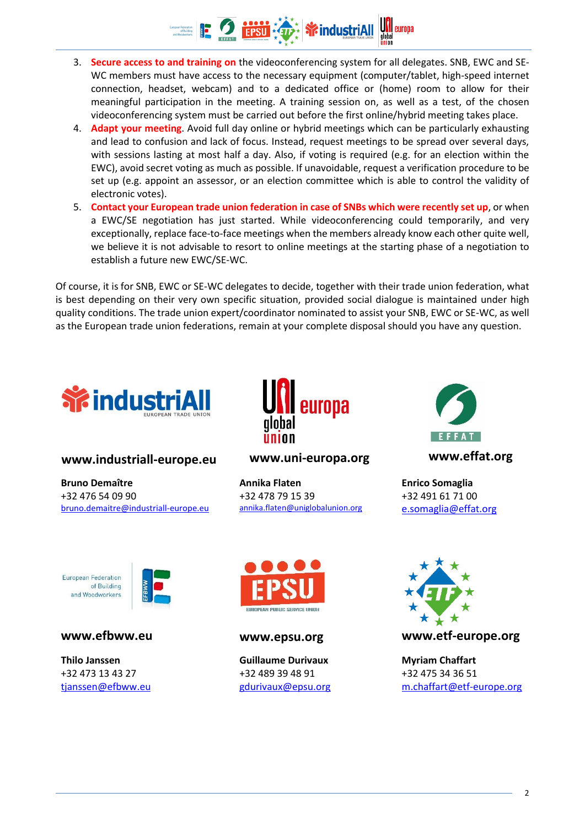

- 3. **Secure access to and training on** the videoconferencing system for all delegates. SNB, EWC and SE-WC members must have access to the necessary equipment (computer/tablet, high-speed internet connection, headset, webcam) and to a dedicated office or (home) room to allow for their meaningful participation in the meeting. A training session on, as well as a test, of the chosen videoconferencing system must be carried out before the first online/hybrid meeting takes place.
- 4. **Adapt your meeting**. Avoid full day online or hybrid meetings which can be particularly exhausting and lead to confusion and lack of focus. Instead, request meetings to be spread over several days, with sessions lasting at most half a day. Also, if voting is required (e.g. for an election within the EWC), avoid secret voting as much as possible. If unavoidable, request a verification procedure to be set up (e.g. appoint an assessor, or an election committee which is able to control the validity of electronic votes).
- 5. **Contact your European trade union federation in case of SNBs which were recently set up**, or when a EWC/SE negotiation has just started. While videoconferencing could temporarily, and very exceptionally, replace face-to-face meetings when the members already know each other quite well, we believe it is not advisable to resort to online meetings at the starting phase of a negotiation to establish a future new EWC/SE-WC.

Of course, it is for SNB, EWC or SE-WC delegates to decide, together with their trade union federation, what is best depending on their very own specific situation, provided social dialogue is maintained under high quality conditions. The trade union expert/coordinator nominated to assist your SNB, EWC or SE-WC, as well as the European trade union federations, remain at your complete disposal should you have any question.



### **www.industriall-europe.eu www.uni-europa.org www.effat.org**

**Bruno Demaître** +32 476 54 09 90 [bruno.demaitre@industriall-europe.eu](mailto:bruno.demaitre@industriall-europe.eu)

European Federation of Building and Woodworkers

**Thilo Janssen** +32 473 13 43 27 [tjanssen@efbww.eu](mailto:tjanssen@efbww.eu)



**Annika Flaten** +32 478 79 15 39 [annika.flaten@](mailto:annika.flaten)uniglobalunion.org



**Enrico Somaglia** +32 491 61 71 00 [e.somaglia@effat.org](mailto:e.somaglia@effat.org)



**Guillaume Durivaux** +32 489 39 48 91 [gdurivaux@epsu.org](mailto:gdurivaux@epsu.org)



**www.efbww.eu www.epsu.org www.etf-europe.org**

**Myriam Chaffart** +32 475 34 36 51 [m.chaffart@etf-europe.org](mailto:m.chaffart@etf-europe.org)